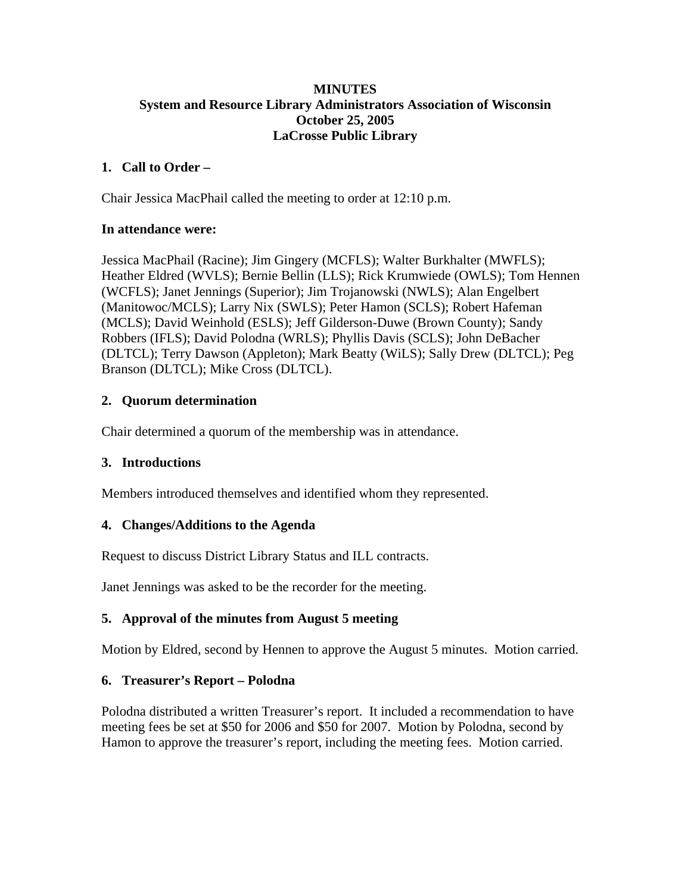### **MINUTES System and Resource Library Administrators Association of Wisconsin October 25, 2005 LaCrosse Public Library**

## **1. Call to Order –**

Chair Jessica MacPhail called the meeting to order at 12:10 p.m.

### **In attendance were:**

Jessica MacPhail (Racine); Jim Gingery (MCFLS); Walter Burkhalter (MWFLS); Heather Eldred (WVLS); Bernie Bellin (LLS); Rick Krumwiede (OWLS); Tom Hennen (WCFLS); Janet Jennings (Superior); Jim Trojanowski (NWLS); Alan Engelbert (Manitowoc/MCLS); Larry Nix (SWLS); Peter Hamon (SCLS); Robert Hafeman (MCLS); David Weinhold (ESLS); Jeff Gilderson-Duwe (Brown County); Sandy Robbers (IFLS); David Polodna (WRLS); Phyllis Davis (SCLS); John DeBacher (DLTCL); Terry Dawson (Appleton); Mark Beatty (WiLS); Sally Drew (DLTCL); Peg Branson (DLTCL); Mike Cross (DLTCL).

## **2. Quorum determination**

Chair determined a quorum of the membership was in attendance.

## **3. Introductions**

Members introduced themselves and identified whom they represented.

## **4. Changes/Additions to the Agenda**

Request to discuss District Library Status and ILL contracts.

Janet Jennings was asked to be the recorder for the meeting.

## **5. Approval of the minutes from August 5 meeting**

Motion by Eldred, second by Hennen to approve the August 5 minutes. Motion carried.

## **6. Treasurer's Report – Polodna**

Polodna distributed a written Treasurer's report. It included a recommendation to have meeting fees be set at \$50 for 2006 and \$50 for 2007. Motion by Polodna, second by Hamon to approve the treasurer's report, including the meeting fees. Motion carried.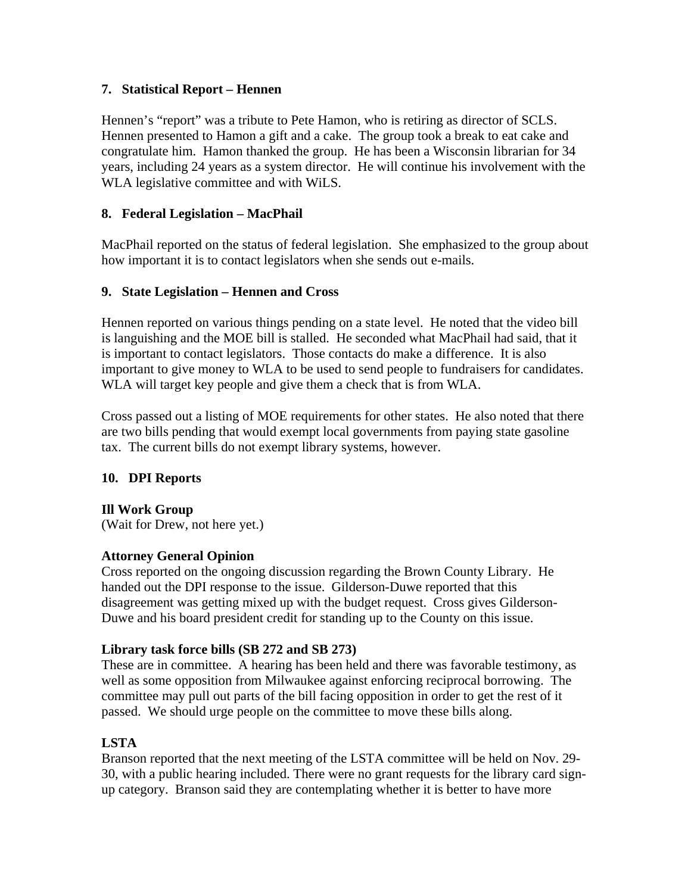### **7. Statistical Report – Hennen**

Hennen's "report" was a tribute to Pete Hamon, who is retiring as director of SCLS. Hennen presented to Hamon a gift and a cake. The group took a break to eat cake and congratulate him. Hamon thanked the group. He has been a Wisconsin librarian for 34 years, including 24 years as a system director. He will continue his involvement with the WLA legislative committee and with WiLS.

### **8. Federal Legislation – MacPhail**

MacPhail reported on the status of federal legislation. She emphasized to the group about how important it is to contact legislators when she sends out e-mails.

### **9. State Legislation – Hennen and Cross**

Hennen reported on various things pending on a state level. He noted that the video bill is languishing and the MOE bill is stalled. He seconded what MacPhail had said, that it is important to contact legislators. Those contacts do make a difference. It is also important to give money to WLA to be used to send people to fundraisers for candidates. WLA will target key people and give them a check that is from WLA.

Cross passed out a listing of MOE requirements for other states. He also noted that there are two bills pending that would exempt local governments from paying state gasoline tax. The current bills do not exempt library systems, however.

## **10. DPI Reports**

#### **Ill Work Group**

(Wait for Drew, not here yet.)

#### **Attorney General Opinion**

Cross reported on the ongoing discussion regarding the Brown County Library. He handed out the DPI response to the issue. Gilderson-Duwe reported that this disagreement was getting mixed up with the budget request. Cross gives Gilderson-Duwe and his board president credit for standing up to the County on this issue.

## **Library task force bills (SB 272 and SB 273)**

These are in committee. A hearing has been held and there was favorable testimony, as well as some opposition from Milwaukee against enforcing reciprocal borrowing. The committee may pull out parts of the bill facing opposition in order to get the rest of it passed. We should urge people on the committee to move these bills along.

## **LSTA**

Branson reported that the next meeting of the LSTA committee will be held on Nov. 29- 30, with a public hearing included. There were no grant requests for the library card signup category. Branson said they are contemplating whether it is better to have more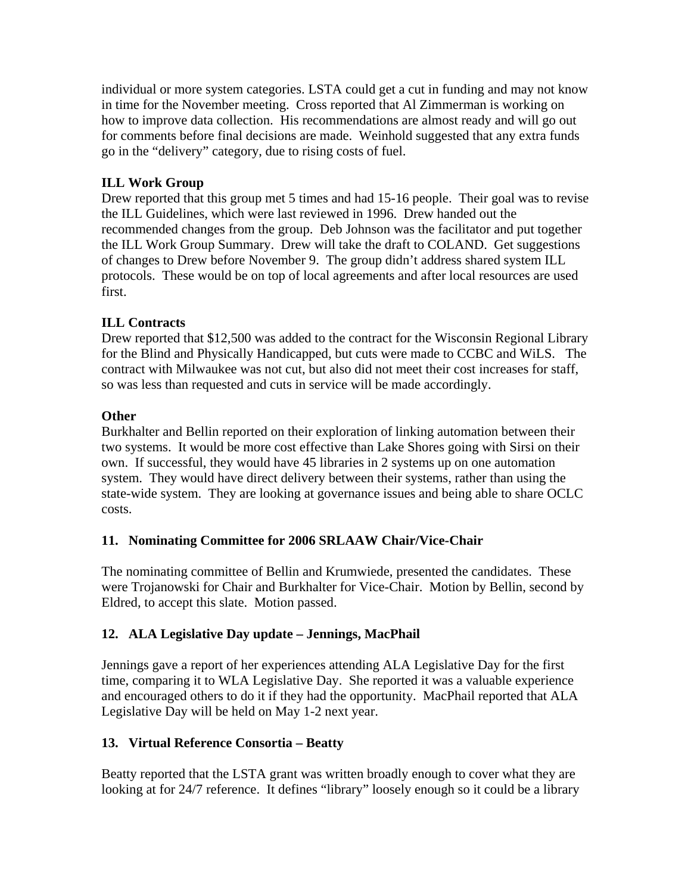individual or more system categories. LSTA could get a cut in funding and may not know in time for the November meeting. Cross reported that Al Zimmerman is working on how to improve data collection. His recommendations are almost ready and will go out for comments before final decisions are made. Weinhold suggested that any extra funds go in the "delivery" category, due to rising costs of fuel.

# **ILL Work Group**

Drew reported that this group met 5 times and had 15-16 people. Their goal was to revise the ILL Guidelines, which were last reviewed in 1996. Drew handed out the recommended changes from the group. Deb Johnson was the facilitator and put together the ILL Work Group Summary. Drew will take the draft to COLAND. Get suggestions of changes to Drew before November 9. The group didn't address shared system ILL protocols. These would be on top of local agreements and after local resources are used first.

# **ILL Contracts**

Drew reported that \$12,500 was added to the contract for the Wisconsin Regional Library for the Blind and Physically Handicapped, but cuts were made to CCBC and WiLS.The contract with Milwaukee was not cut, but also did not meet their cost increases for staff, so was less than requested and cuts in service will be made accordingly.

## **Other**

Burkhalter and Bellin reported on their exploration of linking automation between their two systems. It would be more cost effective than Lake Shores going with Sirsi on their own. If successful, they would have 45 libraries in 2 systems up on one automation system. They would have direct delivery between their systems, rather than using the state-wide system. They are looking at governance issues and being able to share OCLC costs.

# **11. Nominating Committee for 2006 SRLAAW Chair/Vice-Chair**

The nominating committee of Bellin and Krumwiede, presented the candidates. These were Trojanowski for Chair and Burkhalter for Vice-Chair. Motion by Bellin, second by Eldred, to accept this slate. Motion passed.

# **12. ALA Legislative Day update – Jennings, MacPhail**

Jennings gave a report of her experiences attending ALA Legislative Day for the first time, comparing it to WLA Legislative Day. She reported it was a valuable experience and encouraged others to do it if they had the opportunity. MacPhail reported that ALA Legislative Day will be held on May 1-2 next year.

## **13. Virtual Reference Consortia – Beatty**

Beatty reported that the LSTA grant was written broadly enough to cover what they are looking at for 24/7 reference. It defines "library" loosely enough so it could be a library